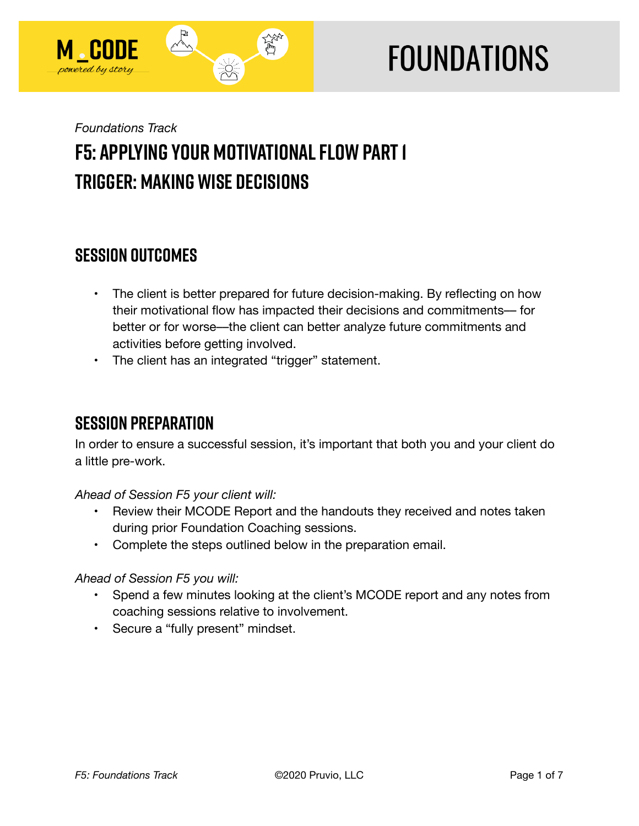

# **FOUNDATIONS**

## *Foundations Track*  **F5: Applying Your Motivational Flow Part 1 Trigger: Making Wise Decisions**

## **SESSION OUTCOMES**

- The client is better prepared for future decision-making. By reflecting on how their motivational flow has impacted their decisions and commitments- for better or for worse––the client can better analyze future commitments and activities before getting involved.
- The client has an integrated "trigger" statement.

## **SESSION PREPARATION**

In order to ensure a successful session, it's important that both you and your client do a little pre-work.

*Ahead of Session F5 your client will:* 

- Review their MCODE Report and the handouts they received and notes taken during prior Foundation Coaching sessions.
- Complete the steps outlined below in the preparation email.

#### *Ahead of Session F5 you will:*

- Spend a few minutes looking at the client's MCODE report and any notes from coaching sessions relative to involvement.
- Secure a "fully present" mindset.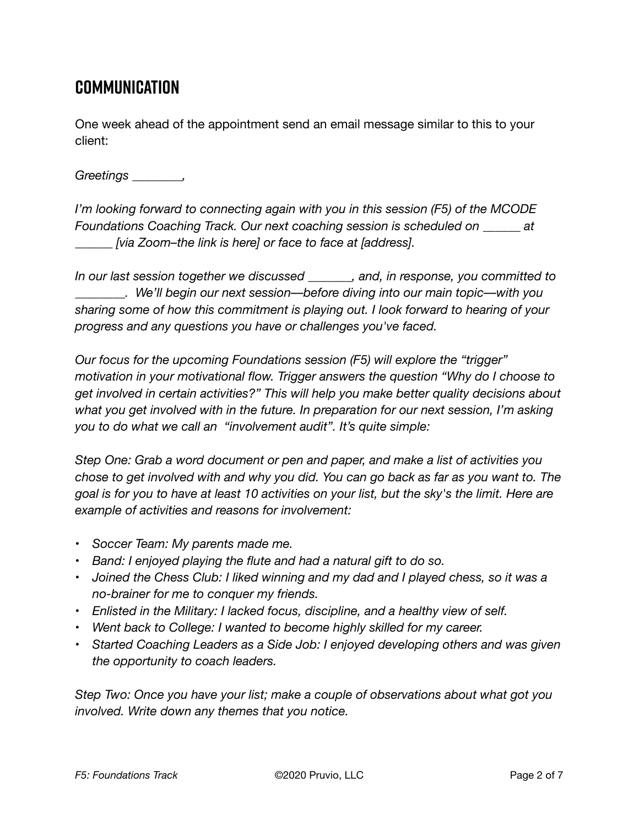## **Communication**

One week ahead of the appointment send an email message similar to this to your client:

*Greetings \_\_\_\_\_\_\_\_,* 

*I'm looking forward to connecting again with you in this session (F5) of the MCODE Foundations Coaching Track. Our next coaching session is scheduled on \_\_\_\_\_\_ at \_\_\_\_\_\_ [via Zoom–the link is here] or face to face at [address].* 

*In our last session together we discussed \_\_\_\_\_\_\_, and, in response, you committed to \_\_\_\_\_\_\_\_. We'll begin our next session––before diving into our main topic––with you sharing some of how this commitment is playing out. I look forward to hearing of your progress and any questions you have or challenges you've faced.* 

*Our focus for the upcoming Foundations session (F5) will explore the "trigger" motivation in your motivational flow. Trigger answers the question "Why do I choose to get involved in certain activities?" This will help you make better quality decisions about what you get involved with in the future. In preparation for our next session, I'm asking you to do what we call an "involvement audit". It's quite simple:* 

*Step One: Grab a word document or pen and paper, and make a list of activities you chose to get involved with and why you did. You can go back as far as you want to. The goal is for you to have at least 10 activities on your list, but the sky's the limit. Here are example of activities and reasons for involvement:* 

- *Soccer Team: My parents made me.*
- *Band: I enjoyed playing the flute and had a natural gift to do so.*
- *Joined the Chess Club: I liked winning and my dad and I played chess, so it was a no-brainer for me to conquer my friends.*
- *Enlisted in the Military: I lacked focus, discipline, and a healthy view of self.*
- *Went back to College: I wanted to become highly skilled for my career.*
- *Started Coaching Leaders as a Side Job: I enjoyed developing others and was given the opportunity to coach leaders.*

*Step Two: Once you have your list; make a couple of observations about what got you involved. Write down any themes that you notice.*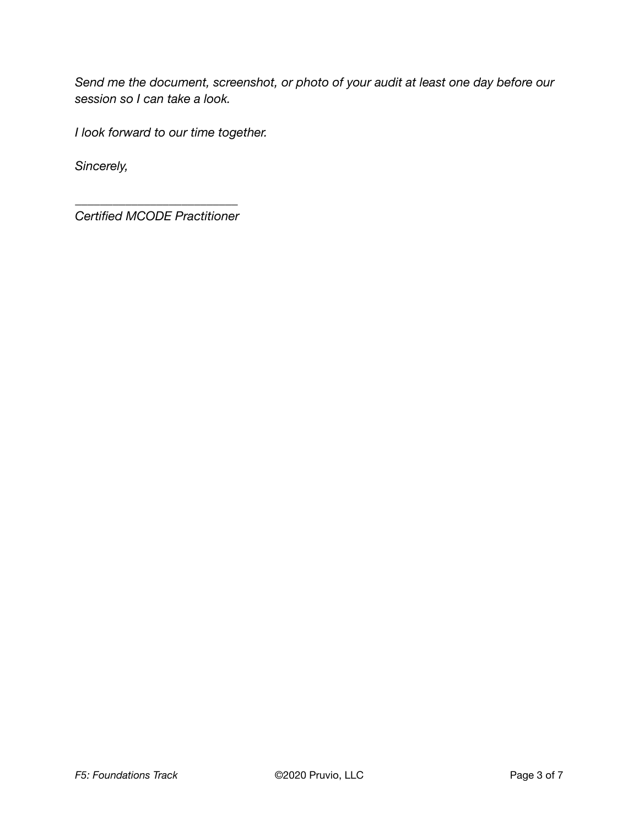*Send me the document, screenshot, or photo of your audit at least one day before our session so I can take a look.* 

*I look forward to our time together.* 

*Sincerely,* 

*\_\_\_\_\_\_\_\_\_\_\_\_\_\_\_\_\_\_\_\_\_\_\_\_\_\_ Certified MCODE Practitioner*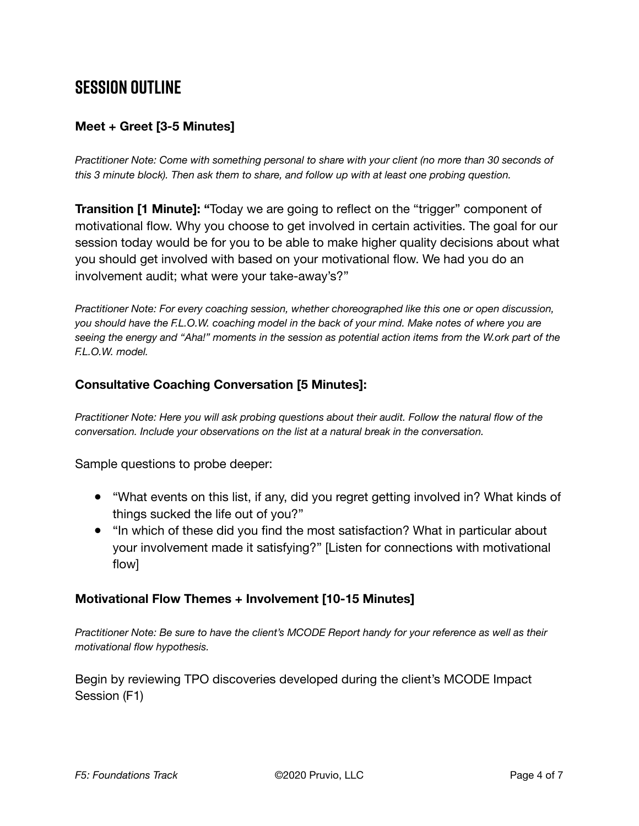## **SESSION OUTLINE**

#### **Meet + Greet [3-5 Minutes]**

*Practitioner Note: Come with something personal to share with your client (no more than 30 seconds of this 3 minute block). Then ask them to share, and follow up with at least one probing question.* 

**Transition [1 Minute]: "**Today we are going to reflect on the "trigger" component of motivational flow. Why you choose to get involved in certain activities. The goal for our session today would be for you to be able to make higher quality decisions about what you should get involved with based on your motivational flow. We had you do an involvement audit; what were your take-away's?"

*Practitioner Note: For every coaching session, whether choreographed like this one or open discussion, you should have the F.L.O.W. coaching model in the back of your mind. Make notes of where you are seeing the energy and "Aha!" moments in the session as potential action items from the W.ork part of the F.L.O.W. model.* 

#### **Consultative Coaching Conversation [5 Minutes]:**

*Practitioner Note: Here you will ask probing questions about their audit. Follow the natural flow of the conversation. Include your observations on the list at a natural break in the conversation.*

Sample questions to probe deeper:

- "What events on this list, if any, did you regret getting involved in? What kinds of things sucked the life out of you?"
- "In which of these did you find the most satisfaction? What in particular about your involvement made it satisfying?" [Listen for connections with motivational flow]

#### **Motivational Flow Themes + Involvement [10-15 Minutes]**

*Practitioner Note: Be sure to have the client's MCODE Report handy for your reference as well as their motivational flow hypothesis.* 

Begin by reviewing TPO discoveries developed during the client's MCODE Impact Session (F1)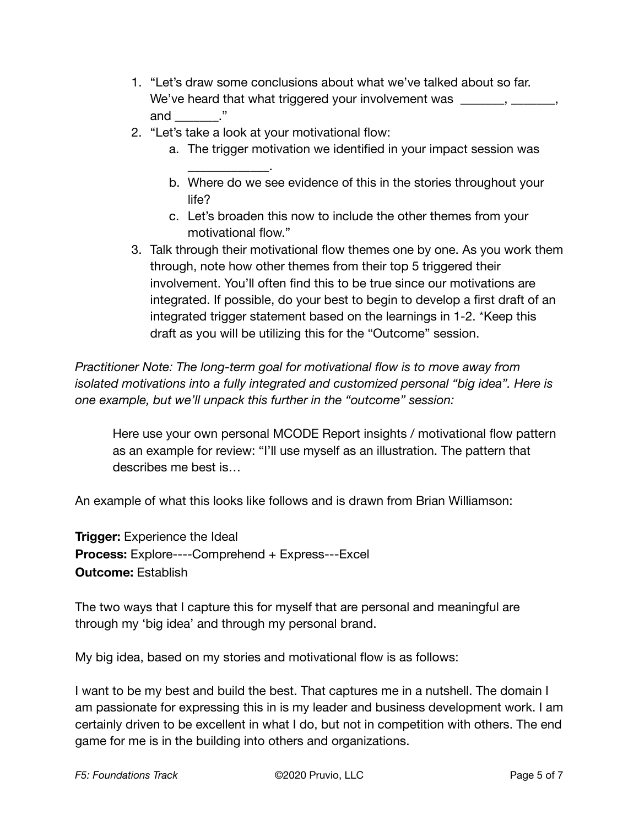- 1. "Let's draw some conclusions about what we've talked about so far. We've heard that what triggered your involvement was \_\_\_\_\_\_, \_\_\_\_\_ and  $\_\_\_\$ ."
- 2. "Let's take a look at your motivational flow:

 $\overline{\phantom{a}}$  . The set of the set of the set of the set of the set of the set of the set of the set of the set of the set of the set of the set of the set of the set of the set of the set of the set of the set of the set o

- a. The trigger motivation we identified in your impact session was
- b. Where do we see evidence of this in the stories throughout your life?
- c. Let's broaden this now to include the other themes from your motivational flow."
- 3. Talk through their motivational flow themes one by one. As you work them through, note how other themes from their top 5 triggered their involvement. You'll often find this to be true since our motivations are integrated. If possible, do your best to begin to develop a first draft of an integrated trigger statement based on the learnings in 1-2. \*Keep this draft as you will be utilizing this for the "Outcome" session.

*Practitioner Note: The long-term goal for motivational flow is to move away from isolated motivations into a fully integrated and customized personal "big idea". Here is one example, but we'll unpack this further in the "outcome" session:* 

Here use your own personal MCODE Report insights / motivational flow pattern as an example for review: "I'll use myself as an illustration. The pattern that describes me best is…

An example of what this looks like follows and is drawn from Brian Williamson:

**Trigger:** Experience the Ideal **Process:** Explore----Comprehend + Express---Excel **Outcome:** Establish

The two ways that I capture this for myself that are personal and meaningful are through my 'big idea' and through my personal brand.

My big idea, based on my stories and motivational flow is as follows:

I want to be my best and build the best. That captures me in a nutshell. The domain I am passionate for expressing this in is my leader and business development work. I am certainly driven to be excellent in what I do, but not in competition with others. The end game for me is in the building into others and organizations.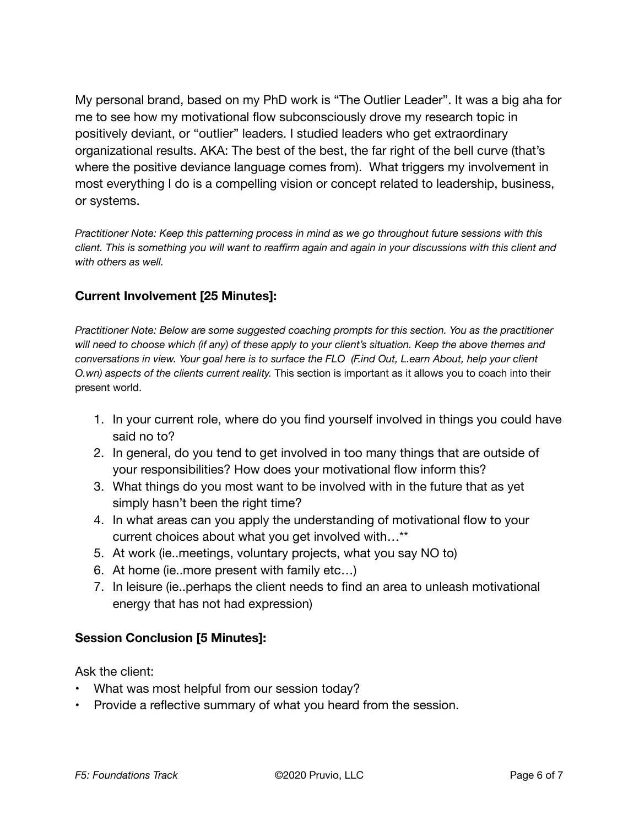My personal brand, based on my PhD work is "The Outlier Leader". It was a big aha for me to see how my motivational flow subconsciously drove my research topic in positively deviant, or "outlier" leaders. I studied leaders who get extraordinary organizational results. AKA: The best of the best, the far right of the bell curve (that's where the positive deviance language comes from). What triggers my involvement in most everything I do is a compelling vision or concept related to leadership, business, or systems.

*Practitioner Note: Keep this patterning process in mind as we go throughout future sessions with this client. This is something you will want to reaffirm again and again in your discussions with this client and with others as well.* 

#### **Current Involvement [25 Minutes]:**

*Practitioner Note: Below are some suggested coaching prompts for this section. You as the practitioner will need to choose which (if any) of these apply to your client's situation. Keep the above themes and conversations in view. Your goal here is to surface the FLO (F.ind Out, L.earn About, help your client O.wn) aspects of the clients current reality.* This section is important as it allows you to coach into their present world.

- 1. In your current role, where do you find yourself involved in things you could have said no to?
- 2. In general, do you tend to get involved in too many things that are outside of your responsibilities? How does your motivational flow inform this?
- 3. What things do you most want to be involved with in the future that as yet simply hasn't been the right time?
- 4. In what areas can you apply the understanding of motivational flow to your current choices about what you get involved with…\*\*
- 5. At work (ie..meetings, voluntary projects, what you say NO to)
- 6. At home (ie..more present with family etc…)
- 7. In leisure (ie..perhaps the client needs to find an area to unleash motivational energy that has not had expression)

#### **Session Conclusion [5 Minutes]:**

Ask the client:

- What was most helpful from our session today?
- Provide a reflective summary of what you heard from the session.